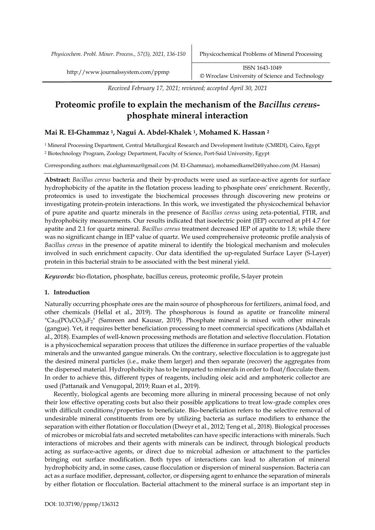*Physicochem. Probl. Miner. Process., 57(3), 2021, 136-150* Physicochemical Problems of Mineral Processing

*Received February 17, 2021; reviewed; accepted April 30, 2021*

# **Proteomic profile to explain the mechanism of the** *Bacillus cereus***phosphate mineral interaction**

# **Mai R. El-Ghammaz <sup>1</sup>, Nagui A. Abdel-Khalek <sup>1</sup>, Mohamed K. Hassan <sup>2</sup>**

<sup>1</sup> Mineral Processing Department, Central Metallurgical Research and Development Institute (CMRDI), Cairo, Egypt <sup>2</sup> Biotechnology Program, Zoology Department, Faculty of Science, Port-Said University, Egypt

Corresponding authors: mai.elghammaz@gmail.com (M. El-Ghammaz), mohamedkamel24@yahoo.com (M. Hassan)

**Abstract:** *Bacillus cereus* bacteria and their by-products were used as surface-active agents for surface hydrophobicity of the apatite in the flotation process leading to phosphate ores' enrichment. Recently, proteomics is used to investigate the biochemical processes through discovering new proteins or investigating protein-protein interactions. In this work, we investigated the physicochemical behavior of pure apatite and quartz minerals in the presence of *Bacillus cereus* using zeta-potential, FTIR, and hydrophobicity measurements. Our results indicated that isoelectric point (IEP) occurred at pH 4.7 for apatite and 2.1 for quartz mineral. *Bacillus cereus* treatment decreased IEP of apatite to 1.8; while there was no significant change in IEP value of quartz. We used comprehensive proteomic profile analysis of *Bacillus cereus* in the presence of apatite mineral to identify the biological mechanism and molecules involved in such enrichment capacity. Our data identified the up-regulated Surface Layer (S-Layer) protein in this bacterial strain to be associated with the best mineral yield.

*Keywords:* bio-flotation, phosphate, bacillus cereus, proteomic profile, S-layer protein

### **1. Introduction**

Naturally occurring phosphate ores are the main source of phosphorous for fertilizers, animal food, and other chemicals (Hellal et al., 2019). The phosphorous is found as apatite or francolite mineral  ${}^{\text{m}}\text{Ca}_{10}(\text{PO}_{4}\text{CO}_{3})_{6}F_{2}$ " (Samreen and Kausar, 2019). Phosphate mineral is mixed with other minerals (gangue). Yet, it requires better beneficiation processing to meet commercial specifications (Abdallah et al., 2018). Examples of well-known processing methods are flotation and selective flocculation. Flotation is a physicochemical separation process that utilizes the difference in surface properties of the valuable minerals and the unwanted gangue minerals. On the contrary, selective flocculation is to aggregate just the desired mineral particles (i.e., make them larger) and then separate (recover) the aggregates from the dispersed material. Hydrophobicity has to be imparted to minerals in order to float/flocculate them. In order to achieve this, different types of reagents, including oleic acid and amphoteric collector are used (Pattanaik and Venugopal, 2019; Ruan et al., 2019).

Recently, biological agents are becoming more alluring in mineral processing because of not only their low effective operating costs but also their possible applications to treat low-grade complex ores with difficult conditions/properties to beneficiate. Bio-beneficiation refers to the selective removal of undesirable mineral constituents from ore by utilizing bacteria as surface modifiers to enhance the separation with either flotation or flocculation (Dweyr et al., 2012; Teng et al., 2018). Biological processes of microbes or microbial fats and secreted metabolites can have specific interactions with minerals. Such interactions of microbes and their agents with minerals can be indirect, through biological products acting as surface-active agents, or direct due to microbial adhesion or attachment to the particles bringing out surface modification. Both types of interactions can lead to alteration of mineral hydrophobicity and, in some cases, cause flocculation or dispersion of mineral suspension. Bacteria can act as a surface modifier, depressant, collector, or dispersing agent to enhance the separation of minerals by either flotation or flocculation. Bacterial attachment to the mineral surface is an important step in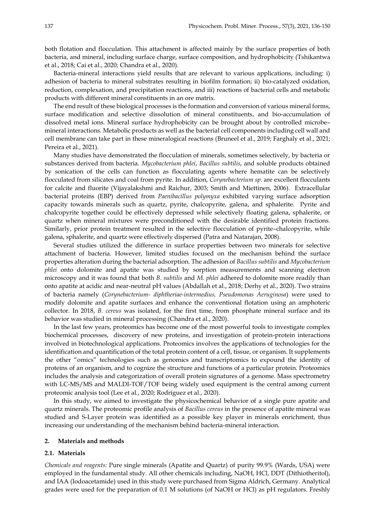both flotation and flocculation. This attachment is affected mainly by the surface properties of both bacteria, and mineral, including surface charge, surface composition, and hydrophobicity (Tshikantwa et al., 2018; Cai et al., 2020; Chandra et al., 2020).

Bacteria-mineral interactions yield results that are relevant to various applications, including: i) adhesion of bacteria to mineral substrates resulting in biofilm formation; ii) bio-catalyzed oxidation, reduction, complexation, and precipitation reactions, and iii) reactions of bacterial cells and metabolic products with different mineral constituents in an ore matrix.

The end result of these biological processes is the formation and conversion of various mineral forms, surface modification and selective dissolution of mineral constituents, and bio-accumulation of dissolved metal ions. Mineral surface hydrophobicity can be brought about by controlled microbe– mineral interactions. Metabolic products as well as the bacterial cell components including cell wall and cell membrane can take part in these mineralogical reactions (Bruneel et al., 2019; Farghaly et al., 2021; Pereira et al., 2021).

Many studies have demonstrated the flocculation of minerals, sometimes selectively, by bacteria or substances derived from bacteria. *Mycobacterium phlei*, *Bacillus subtilis*, and soluble products obtained by sonication of the cells can function as flocculating agents where hematite can be selectively flocculated from silicates and coal from pyrite. In addition, *Corynebacterium sp.* are excellent flocculants for calcite and fluorite (Vijayalakshmi and Raichur, 2003; Smith and Miettinen, 2006). Extracellular bacterial proteins (EBP) derived from *Paenibacillus polymyxa* exhibited varying surface adsorption capacity towards minerals such as quartz, pyrite, chalcopyrite, galena, and sphalerite. Pyrite and chalcopyrite together could be effectively depressed while selectively floating galena, sphalerite, or quartz when mineral mixtures were preconditioned with the desirable identified protein fractions. Similarly, prior protein treatment resulted in the selective flocculation of pyrite–chalcopyrite, while galena, sphalerite, and quartz were effectively dispersed (Patra and Natarajan, 2008).

Several studies utilized the difference in surface properties between two minerals for selective attachment of bacteria. However, limited studies focused on the mechanism behind the surface properties alteration during the bacterial adsorption. The adhesion of *Bacillus subtilis* and *Mycobacterium phlei* onto dolomite and apatite was studied by sorption measurements and scanning electron microscopy and it was found that both *B. subtilis* and *M. phlei* adhered to dolomite more readily than onto apatite at acidic and near-neutral pH values (Abdallah et al., 2018; Derhy et al., 2020). Two strains of bacteria namely (*Corynebacterium- diphtheriae-intermedius, Pseudomonas Aeruginosa*) were used to modify dolomite and apatite surfaces and enhance the conventional flotation using an amphoteric collector. In 2018, *B. cereus* was isolated, for the first time, from phosphate mineral surface and its behavior was studied in mineral processing (Chandra et al., 2020).

In the last few years, proteomics has become one of the most powerful tools to investigate complex biochemical processes, discovery of new proteins, and investigation of protein-protein interactions involved in biotechnological applications. Proteomics involves the applications of technologies for the identification and quantification of the total protein content of a cell, tissue, or organism. It supplements the other "omics" technologies such as genomics and transcriptomics to expound the identity of proteins of an organism, and to cognize the structure and functions of a particular protein. Proteomics includes the analysis and categorization of overall protein signatures of a genome. Mass spectrometry with LC-MS/MS and MALDI-TOF/TOF being widely used equipment is the central among current proteomic analysis tool (Lee et al., 2020; Rodríguez et al., 2020).

In this study, we aimed to investigate the physicochemical behavior of a single pure apatite and quartz minerals. The proteomic profile analysis of *Bacillus cereus* in the presence of apatite mineral was studied and S-Layer protein was identified as a possible key player in minerals enrichment, thus increasing our understanding of the mechanism behind bacteria-mineral interaction.

### **2. Materials and methods**

### **2.1. Materials**

*Chemicals and reagents:* Pure single minerals (Apatite and Quartz) of purity 99.9% (Wards, USA) were employed in the fundamental study. All other chemicals including, NaOH, HCl, DDT (Dithiotheritol), and IAA (Iodoacetamide) used in this study were purchased from Sigma Aldrich, Germany. Analytical grades were used for the preparation of 0.1 M solutions (of NaOH or HCl) as pH regulators. Freshly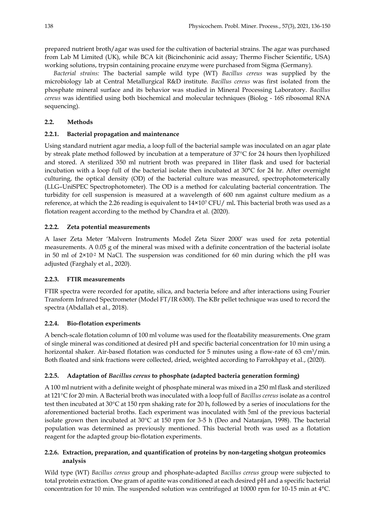prepared nutrient broth/agar was used for the cultivation of bacterial strains. The agar was purchased from Lab M Limited (UK), while BCA kit (Bicinchoninic acid assay; Thermo Fischer Scientific, USA) working solutions, trypsin containing procaine enzyme were purchased from Sigma (Germany).

*Bacterial strains:* The bacterial sample wild type (WT) *Bacillus cereus* was supplied by the microbiology lab at Central Metallurgical R&D institute. *Bacillus cereus* was first isolated from the phosphate mineral surface and its behavior was studied in Mineral Processing Laboratory. *Bacillus cereus* was identified using both biochemical and molecular techniques (Biolog - 16S ribosomal RNA sequencing).

### **2.2. Methods**

### **2.2.1. Bacterial propagation and maintenance**

Using standard nutrient agar media, a loop full of the bacterial sample was inoculated on an agar plate by streak plate method followed by incubation at a temperature of 37°C for 24 hours then lyophilized and stored. A sterilized 350 ml nutrient broth was prepared in 1liter flask and used for bacterial incubation with a loop full of the bacterial isolate then incubated at 30°C for 24 hr. After overnight culturing, the optical density (OD) of the bacterial culture was measured, spectrophotometerically (LLG–UniSPEC Spectrophotometer). The OD is a method for calculating bacterial concentration. The turbidity for cell suspension is measured at a wavelength of 600 nm against culture medium as a reference, at which the 2.26 reading is equivalent to 14×10<sup>7</sup> CFU/ ml**.** This bacterial broth was used as a flotation reagent according to the method by Chandra et al. (2020).

### **2.2.2. Zeta potential measurements**

A laser Zeta Meter 'Malvern Instruments Model Zeta Sizer 2000' was used for zeta potential measurements. A 0.05 g of the mineral was mixed with a definite concentration of the bacterial isolate in 50 ml of  $2\times10^{-2}$  M NaCl. The suspension was conditioned for 60 min during which the pH was adjusted (Farghaly et al., 2020).

### **2.2.3. FTIR measurements**

FTIR spectra were recorded for apatite, silica, and bacteria before and after interactions using Fourier Transform Infrared Spectrometer (Model FT/IR 6300). The KBr pellet technique was used to record the spectra (Abdallah et al., 2018).

### **2.2.4. Bio-flotation experiments**

A bench-scale flotation column of 100 ml volume was used for the floatability measurements. One gram of single mineral was conditioned at desired pH and specific bacterial concentration for 10 min using a horizontal shaker. Air-based flotation was conducted for 5 minutes using a flow-rate of 63 cm<sup>3</sup>/min. Both floated and sink fractions were collected, dried, weighted according to Farrokhpay et al., (2020).

### **2.2.5. Adaptation of** *Bacillus cereus* **to phosphate (adapted bacteria generation forming)**

A 100 ml nutrient with a definite weight of phosphate mineral was mixed in a 250 ml flask and sterilized at 121°C for 20 min. A Bacterial broth was inoculated with a loop full of *Bacillus cereus* isolate as a control test then incubated at  $30^{\circ}$ C at 150 rpm shaking rate for 20 h, followed by a series of inoculations for the aforementioned bacterial broths. Each experiment was inoculated with 5ml of the previous bacterial isolate grown then incubated at  $30^{\circ}$ C at 150 rpm for 3-5 h (Deo and Natarajan, 1998). The bacterial population was determined as previously mentioned. This bacterial broth was used as a flotation reagent for the adapted group bio-flotation experiments.

# **2.2.6. Extraction, preparation, and quantification of proteins by non-targeting shotgun proteomics analysis**

Wild type (WT) *Bacillus cereus* group and phosphate-adapted *Bacillus cereus* group were subjected to total protein extraction. One gram of apatite was conditioned at each desired pH and a specific bacterial concentration for 10 min. The suspended solution was centrifuged at 10000 rpm for 10-15 min at 4°C.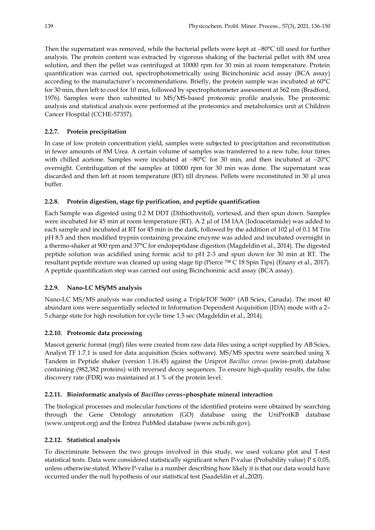Then the supernatant was removed, while the bacterial pellets were kept at −80°C till used for further analysis. The protein content was extracted by vigorous shaking of the bacterial pellet with 8M urea solution, and then the pellet was centrifuged at 10000 rpm for 30 min at room temperature. Protein quantification was carried out, spectrophotometrically using Bicinchoninic acid assay (BCA assay) according to the manufacturer's recommendations. Briefly, the protein sample was incubated at 60°C for 30 min, then left to cool for 10 min, followed by spectrophotometer assessment at 562 nm (Bradford, 1976). Samples were then submitted to MS/MS-based proteomic profile analysis. The proteomic analysis and statistical analysis were performed at the proteomics and metabolomics unit at Children Cancer Hospital (CCHE-57357).

# **2.2.7. Protein precipitation**

In case of low protein concentration yield, samples were subjected to precipitation and reconstitution in fewer amounts of 8M Urea. A certain volume of samples was transferred to a new tube, four times with chilled acetone. Samples were incubated at −80°C for 30 min, and then incubated at −20°C overnight. Centrifugation of the samples at 10000 rpm for 30 min was done. The supernatant was discarded and then left at room temperature (RT) till dryness. Pellets were reconstituted in 30 µl urea buffer.

# **2.2.8. Protein digestion, stage tip purification, and peptide quantification**

Each Sample was digested using 0.2 M DDT (Dithiothreitol), vortexed, and then spun down. Samples were incubated for 45 min at room temperature (RT). A 2 µl of 1M IAA (Iodoacetamide) was added to each sample and incubated at RT for 45 min in the dark, followed by the addition of 102 µl of 0.1 M Tris pH 8.5 and then modified trypsin containing procaine enzyme was added and incubated overnight in a thermo-shaker at 900 rpm and 37°C for endopeptidase digestion (Magdeldin et al., 2014). The digested peptide solution was acidified using formic acid to pH 2-3 and spun down for 30 min at RT. The resultant peptide mixture was cleaned up using stage tip (Pierce ™ C 18 Spin Tips) (Enany et al., 2017). A peptide quantification step was carried out using Bicinchoninic acid assay (BCA assay).

# **2.2.9. Nano-LC MS/MS analysis**

Nano-LC MS/MS analysis was conducted using a TripleTOF 5600<sup>+</sup> (AB Sciex, Canada). The most 40 abundant ions were sequentially selected in Information Dependent Acquisition (IDA) mode with a 2– 5 charge state for high resolution for cycle time 1.5 sec (Magdeldin et al., 2014).

# **2.2.10. Proteomic data processing**

Mascot generic format (mgf) files were created from raw data files using a script supplied by AB Sciex, Analyst TF 1.7.1 is used for data acquisition (Sciex software). MS/MS spectra were searched using X Tandem in Peptide shaker (version 1.16.45) against the Uniprot *Bacillus cereus* (swiss-prot) database containing (982,382 proteins) with reversed decoy sequences. To ensure high-quality results, the false discovery rate (FDR) was maintained at 1 % of the protein level.

# **2.2.11. Bioinformatic analysis of** *Bacillus cereus***–phosphate mineral interaction**

The biological processes and molecular functions of the identified proteins were obtained by searching through the Gene Ontology annotation (GO) database using the UniProtKB database (www.uniprot.org) and the Entrez PubMed database (www.ncbi.nih.gov).

# **2.2.12. Statistical analysis**

To discriminate between the two groups involved in this study, we used volcano plot and T-test statistical tests. Data were considered statistically significant when P-value (Probability value)  $P \le 0.05$ , unless otherwise stated. Where P-value is a number describing how likely it is that our data would have occurred under the null hypothesis of our statistical test (Saadeldin et al.,2020).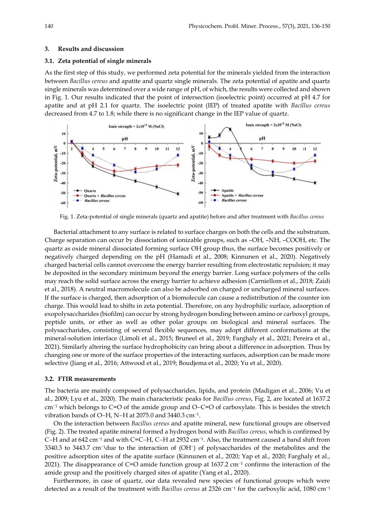#### **3. Results and discussion**

### **3.1. Zeta potential of single minerals**

As the first step of this study, we performed zeta potential for the minerals yielded from the interaction between *Bacillus cereus* and apatite and quartz single minerals. The zeta potential of apatite and quartz single minerals was determined over a wide range of pH, of which, the results were collected and shown in Fig. 1. Our results indicated that the point of intersection (isoelectric point) occurred at pH 4.7 for apatite and at pH 2.1 for quartz. The isoelectric point (IEP) of treated apatite with *Bacillus cereus* decreased from 4.7 to 1.8; while there is no significant change in the IEP value of quartz.



Fig. 1. Zeta-potential of single minerals (quartz and apatite) before and after treatment with *Bacillus cereus*

Bacterial attachment to any surface is related to surface charges on both the cells and the substratum. Charge separation can occur by dissociation of ionizable groups, such as –OH, –NH, –COOH, etc. The quartz as oxide mineral dissociated forming surface OH group thus, the surface becomes positively or negatively charged depending on the pH (Hamadi et al., 2008; Kinnunen et al., 2020). Negatively charged bacterial cells cannot overcome the energy barrier resulting from electrostatic repulsion; it may be deposited in the secondary minimum beyond the energy barrier. Long surface polymers of the cells may reach the solid surface across the energy barrier to achieve adhesion (Carniellom et al., 2018; Zaidi et al., 2018). A neutral macromolecule can also be adsorbed on charged or uncharged mineral surfaces. If the surface is charged, then adsorption of a biomolecule can cause a redistribution of the counter ion charge. This would lead to shifts in zeta potential. Therefore, on any hydrophilic surface, adsorption of exopolysaccharides (biofilm) can occur by strong hydrogen bonding between amino or carboxyl groups, peptide units, or ether as well as other polar groups on biological and mineral surfaces. The polysaccharides, consisting of several flexible sequences, may adopt different conformations at the mineral-solution interface (Limoli et al., 2015; Bruneel et al., 2019; Farghaly et al., 2021; Pereira et al., 2021). Similarly altering the surface hydrophobicity can bring about a difference in adsorption. Thus by changing one or more of the surface properties of the interacting surfaces, adsorption can be made more selective (Jiang et al., 2016; Attwood et al., 2019; Boudjema et al., 2020; Yu et al., 2020).

#### **3.2. FTIR measurements**

The bacteria are mainly composed of polysaccharides, lipids, and protein (Madigan et al., 2006; Vu et al., 2009; Lyu et al., 2020). The main characteristic peaks for *Bacillus cereus*, Fig. 2, are located at 1637.2 cm<sup>−</sup><sup>1</sup> which belongs to C=O of the amide group and O−C=O of carboxylate. This is besides the stretch vibration bands of O–H, N–H at 2075.0 and 3440.3 cm<sup>-1</sup>.

On the interaction between *Bacillus cereus* and apatite mineral, new functional groups are observed (Fig. 2). The treated apatite mineral formed a hydrogen bond with *Bacillus cereus*, which is confirmed by C–H and at 642 cm<sup>-1</sup> and with C=C–H, C–H at 2932 cm<sup>-1</sup>. Also, the treatment caused a band shift from 3340.3 to 3443.7 cm<sup>-1</sup>due to the interaction of (OH<sup>-</sup>) of polysaccharides of the metabolites and the positive adsorption sites of the apatite surface (Kinnunen et al., 2020; Yap et al., 2020; Farghaly et al., 2021). The disappearance of C=O amide function group at 1637.2 cm<sup>−</sup><sup>1</sup> confirms the interaction of the amide group and the positively charged sites of apatite (Yang et al., 2020).

Furthermore, in case of quartz, our data revealed new species of functional groups which were detected as a result of the treatment with *Bacillus cereus* at 2326 cm<sup>-1</sup> for the carboxylic acid, 1080 cm<sup>-1</sup>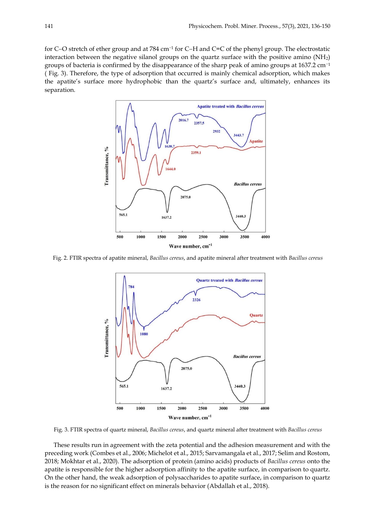for C–O stretch of ether group and at 784 cm<sup>-1</sup> for C–H and C=C of the phenyl group. The electrostatic interaction between the negative silanol groups on the quartz surface with the positive amino (NH2) groups of bacteria is confirmed by the disappearance of the sharp peak of amino groups at 1637.2 cm<sup>-1</sup> ( Fig. 3). Therefore, the type of adsorption that occurred is mainly chemical adsorption, which makes the apatite's surface more hydrophobic than the quartz's surface and, ultimately, enhances its separation.



Fig. 2. FTIR spectra of apatite mineral, *Bacillus cereus*, and apatite mineral after treatment with *Bacillus cereus*



Fig. 3. FTIR spectra of quartz mineral, *Bacillus cereus*, and quartz mineral after treatment with *Bacillus cereus*

These results run in agreement with the zeta potential and the adhesion measurement and with the preceding work (Combes et al., 2006; Michelot et al., 2015; Sarvamangala et al., 2017; Selim and Rostom, 2018; Mokhtar et al., 2020). The adsorption of protein (amino acids) products of *Bacillus cereus* onto the apatite is responsible for the higher adsorption affinity to the apatite surface, in comparison to quartz. On the other hand, the weak adsorption of polysaccharides to apatite surface, in comparison to quartz is the reason for no significant effect on minerals behavior (Abdallah et al., 2018).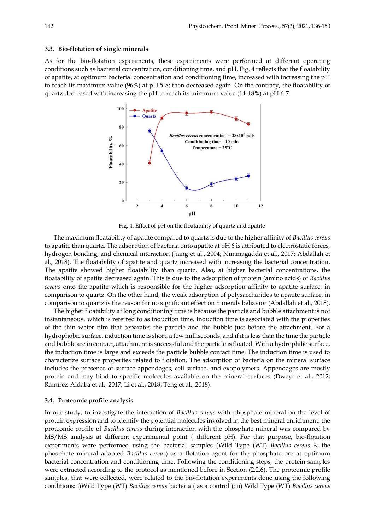#### **3.3. Bio-flotation of single minerals**

As for the bio-flotation experiments, these experiments were performed at different operating conditions such as bacterial concentration, conditioning time, and pH. Fig. 4 reflects that the floatability of apatite, at optimum bacterial concentration and conditioning time, increased with increasing the pH to reach its maximum value (96%) at pH 5-8; then decreased again. On the contrary, the floatability of quartz decreased with increasing the pH to reach its minimum value (14-18%) at pH 6-7.



Fig. 4. Effect of pH on the floatability of quartz and apatite

The maximum floatability of apatite compared to quartz is due to the higher affinity of *Bacillus cereus* to apatite than quartz. The adsorption of bacteria onto apatite at pH 6 is attributed to electrostatic forces, hydrogen bonding, and chemical interaction (Jiang et al., 2004; Nimmagadda et al., 2017; Abdallah et al., 2018). The floatability of apatite and quartz increased with increasing the bacterial concentration. The apatite showed higher floatability than quartz. Also, at higher bacterial concentrations, the floatability of apatite decreased again. This is due to the adsorption of protein (amino acids) of *Bacillus cereus* onto the apatite which is responsible for the higher adsorption affinity to apatite surface, in comparison to quartz. On the other hand, the weak adsorption of polysaccharides to apatite surface, in comparison to quartz is the reason for no significant effect on minerals behavior (Abdallah et al., 2018).

The higher floatability at long conditioning time is because the particle and bubble attachment is not instantaneous, which is referred to as induction time. Induction time is associated with the properties of the thin water film that separates the particle and the bubble just before the attachment. For a hydrophobic surface, induction time is short, a few milliseconds, and if it is less than the time the particle and bubble are in contact, attachment is successful and the particle is floated. With a hydrophilic surface, the induction time is large and exceeds the particle bubble contact time. The induction time is used to characterize surface properties related to flotation. The adsorption of bacteria on the mineral surface includes the presence of surface appendages, cell surface, and exopolymers. Appendages are mostly protein and may bind to specific molecules available on the mineral surfaces (Dweyr et al., 2012; Ramírez-Aldaba et al., 2017; Li et al., 2018; Teng et al., 2018).

### **3.4. Proteomic profile analysis**

In our study, to investigate the interaction of *Bacillus cereus* with phosphate mineral on the level of protein expression and to identify the potential molecules involved in the best mineral enrichment, the proteomic profile of *Bacillus cereus* during interaction with the phosphate mineral was compared by MS/MS analysis at different experimental point ( different pH). For that purpose, bio-flotation experiments were performed using the bacterial samples (Wild Type (WT) *Bacillus cereus* & the phosphate mineral adapted *Bacillus cereus*) as a flotation agent for the phosphate ore at optimum bacterial concentration and conditioning time. Following the conditioning steps, the protein samples were extracted according to the protocol as mentioned before in Section (2.2.6). The proteomic profile samples, that were collected, were related to the bio-flotation experiments done using the following conditions: i)Wild Type (WT) *Bacillus cereus* bacteria ( as a control ); ii) Wild Type (WT) *Bacillus cereus*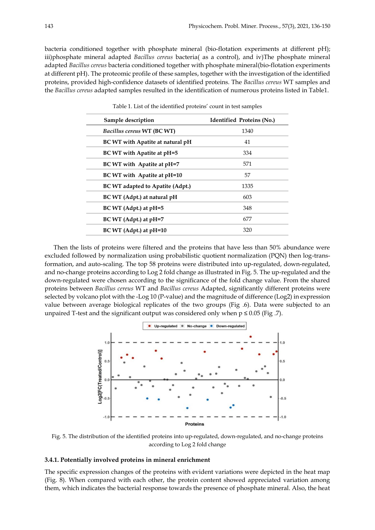bacteria conditioned together with phosphate mineral (bio-flotation experiments at different pH); iii)phosphate mineral adapted *Bacillus cereus* bacteria( as a control), and iv)The phosphate mineral adapted *Bacillus cereus* bacteria conditioned together with phosphate mineral(bio-flotation experiments at different pH). The proteomic profile of these samples, together with the investigation of the identified proteins, provided high-confidence datasets of identified proteins. The *Bacillus cereus* WT samples and the *Bacillus cereus* adapted samples resulted in the identification of numerous proteins listed in Table1.

| Sample description               | <b>Identified Proteins (No.)</b> |
|----------------------------------|----------------------------------|
| Bacillus cereus WT (BC WT)       | 1340                             |
| BC WT with Apatite at natural pH | 41                               |
| BC WT with Apatite at pH=5       | 334                              |
| BC WT with Apatite at pH=7       | 571                              |
| BC WT with Apatite at pH=10      | 57                               |
| BC WT adapted to Apatite (Adpt.) | 1335                             |
| BC WT (Adpt.) at natural pH      | 603                              |
| $BCWT (Adpt.)$ at $pH=5$         | 348                              |
| $BCWT (Adpt.)$ at $pH=7$         | 677                              |
| BC WT (Adpt.) at pH=10           | 320                              |

Table 1. List of the identified proteins' count in test samples

Then the lists of proteins were filtered and the proteins that have less than 50% abundance were excluded followed by normalization using probabilistic quotient normalization (PQN) then log-transformation, and auto-scaling. The top 58 proteins were distributed into up-regulated, down-regulated, and no-change proteins according to Log 2 fold change as illustrated in Fig. 5. The up-regulated and the down-regulated were chosen according to the significance of the fold change value. From the shared proteins between *Bacillus cereus* WT and *Bacillus cereus* Adapted, significantly different proteins were selected by volcano plot with the -Log 10 (P-value) and the magnitude of difference (Log2) in expression value between average biological replicates of the two groups (Fig .6). Data were subjected to an unpaired T-test and the significant output was considered only when  $p \le 0.05$  (Fig. 7).



Fig. 5. The distribution of the identified proteins into up-regulated, down-regulated, and no-change proteins according to Log 2 fold change

#### **3.4.1. Potentially involved proteins in mineral enrichment**

The specific expression changes of the proteins with evident variations were depicted in the heat map (Fig. 8). When compared with each other, the protein content showed appreciated variation among them, which indicates the bacterial response towards the presence of phosphate mineral. Also, the heat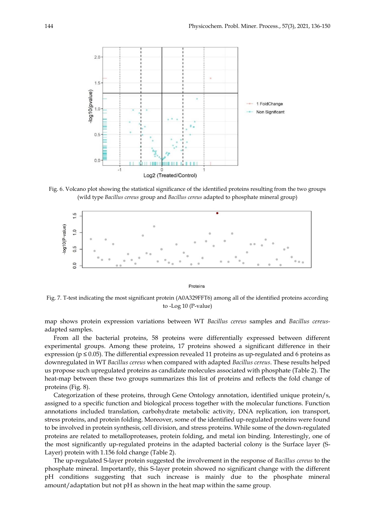

Fig. 6. Volcano plot showing the statistical significance of the identified proteins resulting from the two groups (wild type *Bacillus cereus* group and *Bacillus cereus* adapted to phosphate mineral group)



Proteins

Fig. 7. T-test indicating the most significant protein (A0A329FFT6) among all of the identified proteins according to -Log 10 (P-value)

map shows protein expression variations between WT *Bacillus cereus* samples and *Bacillus cereus*adapted samples.

From all the bacterial proteins, 58 proteins were differentially expressed between different experimental groups. Among these proteins, 17 proteins showed a significant difference in their expression ( $p \le 0.05$ ). The differential expression revealed 11 proteins as up-regulated and 6 proteins as downregulated in WT *Bacillus cereus* when compared with adapted *Bacillus cereus*. These results helped us propose such upregulated proteins as candidate molecules associated with phosphate (Table 2). The heat-map between these two groups summarizes this list of proteins and reflects the fold change of proteins (Fig. 8).

Categorization of these proteins, through Gene Ontology annotation, identified unique protein/s, assigned to a specific function and biological process together with the molecular functions. Function annotations included translation, carbohydrate metabolic activity, DNA replication, ion transport, stress proteins, and protein folding. Moreover, some of the identified up-regulated proteins were found to be involved in protein synthesis, cell division, and stress proteins. While some of the down-regulated proteins are related to metalloproteases, protein folding, and metal ion binding. Interestingly, one of the most significantly up-regulated proteins in the adapted bacterial colony is the Surface layer (S-Layer) protein with 1.156 fold change (Table 2).

The up-regulated S-layer protein suggested the involvement in the response of *Bacillus cereus* to the phosphate mineral. Importantly, this S-layer protein showed no significant change with the different pH conditions suggesting that such increase is mainly due to the phosphate mineral amount/adaptation but not pH as shown in the heat map within the same group.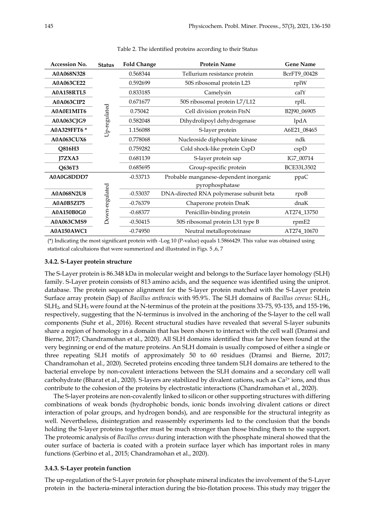| <b>Accession No.</b> | <b>Status</b>  | <b>Fold Change</b> | <b>Protein Name</b>                      | <b>Gene Name</b>  |
|----------------------|----------------|--------------------|------------------------------------------|-------------------|
| A0A068N328           |                | 0.568344           | Tellurium resistance protein             | BcrFT9_00428      |
| <b>A0A063CE22</b>    |                | 0.592699           | 50S ribosomal protein L23                | rplW              |
| <b>A0A158RTL5</b>    |                | 0.833185           | Camelysin                                | calY              |
| <b>A0A063CIP2</b>    | Up-regulated   | 0.671677           | 50S ribosomal protein L7/L12             | rplL              |
| A0A0E1MIT6           |                | 0.75042            | Cell division protein FtsN               | B2J90_06905       |
| A0A063CJG9           |                | 0.582048           | Dihydrolipoyl dehydrogenase              | lpdA              |
| A0A329FFT6 *         |                | 1.156088           | S-layer protein                          | A6E21_08465       |
| <b>A0A063CUX6</b>    |                | 0.778068           | Nucleoside diphosphate kinase            | ndk               |
| Q816H3               |                | 0.759282           | Cold shock-like protein CspD             | cspD              |
| IZXA3                |                | 0.681139           | S-layer protein sap                      | IG7_00714         |
| Q636T3               |                | 0.685695           | Group-specific protein                   | <b>BCE33L3502</b> |
| A0A0G8DDD7           |                | $-0.53713$         | Probable manganese-dependent inorganic   | ppaC              |
|                      |                |                    | pyrophosphatase                          |                   |
| A0A068N2U8           |                | $-0.53037$         | DNA-directed RNA polymerase subunit beta | rpoB              |
| A0A0B5ZI75           | Down-regulated | $-0.76379$         | Chaperone protein DnaK                   | dnaK              |
| A0A150B0G0           |                | $-0.68377$         | Penicillin-binding protein               | AT274_13750       |
| A0A063CMS9           |                | $-0.50415$         | 50S ribosomal protein L31 type B         | rpmE2             |
| A0A150AWC1           |                | $-0.74950$         | Neutral metalloproteinase                | AT274_10670       |

Table 2. The identified proteins according to their Status

(\*) Indicating the most significant protein with -Log 10 (P-value) equals 1.5866429. This value was obtained using statistical calcultaions that were summerized and illustrated in Figs. 5 ,6, 7

### **3.4.2. S-Layer protein structure**

The S-Layer protein is 86.348 kDa in molecular weight and belongs to the Surface layer homology (SLH) family. S-Layer protein consists of 813 amino acids, and the sequence was identified using the uniprot. database. The protein sequence alignment for the S-layer protein matched with the S-Layer protein Surface array protein (Sap) of *Bacillus anthracis* with 95.9%. The SLH domains of *Bacillus cereus*: SLH1, SLH2, and SLH<sup>3</sup> were found at the N-terminus of the protein at the positions 33-75, 93-135, and 155-196, respectively, suggesting that the N-terminus is involved in the anchoring of the S-layer to the cell wall components (Suhr et al., 2016). Recent structural studies have revealed that several S-layer subunits share a region of homology in a domain that has been shown to interact with the cell wall (Dramsi and Bierne, 2017; Chandramohan et al., 2020). All SLH domains identified thus far have been found at the very beginning or end of the mature proteins. An SLH domain is usually composed of either a single or three repeating SLH motifs of approximately 50 to 60 residues (Dramsi and Bierne, 2017; Chandramohan et al., 2020). Secreted proteins encoding three tandem SLH domains are tethered to the bacterial envelope by non-covalent interactions between the SLH domains and a secondary cell wall carbohydrate (Bharat et al., 2020). S-layers are stabilized by divalent cations, such as  $Ca<sup>2+</sup>$  ions, and thus contribute to the cohesion of the proteins by electrostatic interactions (Chandramohan et al., 2020).

The S-layer proteins are non-covalently linked to silicon or other supporting structures with differing combinations of weak bonds (hydrophobic bonds, ionic bonds involving divalent cations or direct interaction of polar groups, and hydrogen bonds), and are responsible for the structural integrity as well. Nevertheless, disintegration and reassembly experiments led to the conclusion that the bonds holding the S-layer proteins together must be much stronger than those binding them to the support. The proteomic analysis of *Bacillus cereus* during interaction with the phosphate mineral showed that the outer surface of bacteria is coated with a protein surface layer which has important roles in many functions (Gerbino et al., 2015; Chandramohan et al., 2020).

### **3.4.3. S-Layer protein function**

The up-regulation of the S-Layer protein for phosphate mineral indicates the involvement of the S-Layer protein in the bacteria-mineral interaction during the bio-flotation process. This study may trigger the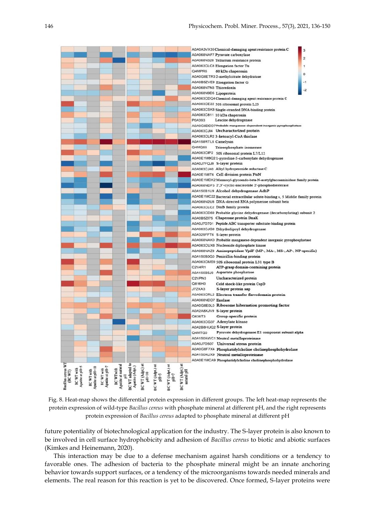

Fig. 8. Heat-map shows the differential protein expression in different groups. The left heat-map represents the protein expression of wild-type *Bacillus cereus* with phosphate mineral at different pH, and the right represents protein expression of *Bacillus cereus* adapted to phosphate mineral at different pH

future potentiality of biotechnological application for the industry. The S-layer protein is also known to be involved in cell surface hydrophobicity and adhesion of *Bacillus cereus* to biotic and abiotic surfaces (Kimkes and Heinemann, 2020).

This interaction may be due to a defense mechanism against harsh conditions or a tendency to favorable ones. The adhesion of bacteria to the phosphate mineral might be an innate anchoring behavior towards support surfaces, or a tendency of the microorganisms towards needed minerals and elements. The real reason for this reaction is yet to be discovered. Once formed, S-layer proteins were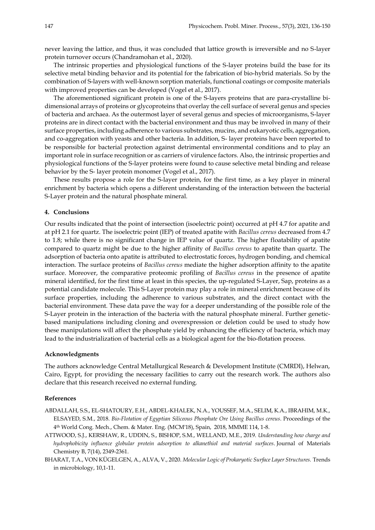never leaving the lattice, and thus, it was concluded that lattice growth is irreversible and no S-layer protein turnover occurs (Chandramohan et al., 2020).

The intrinsic properties and physiological functions of the S-layer proteins build the base for its selective metal binding behavior and its potential for the fabrication of bio-hybrid materials. So by the combination of S-layers with well-known sorption materials, functional coatings or composite materials with improved properties can be developed (Vogel et al., 2017).

The aforementioned significant protein is one of the S-layers proteins that are para-crystalline bidimensional arrays of proteins or glycoproteins that overlay the cell surface of several genus and species of bacteria and archaea. As the outermost layer of several genus and species of microorganisms, S-layer proteins are in direct contact with the bacterial environment and thus may be involved in many of their surface properties, including adherence to various substrates, mucins, and eukaryotic cells, aggregation, and co-aggregation with yeasts and other bacteria. In addition, S- layer proteins have been reported to be responsible for bacterial protection against detrimental environmental conditions and to play an important role in surface recognition or as carriers of virulence factors. Also, the intrinsic properties and physiological functions of the S-layer proteins were found to cause selective metal binding and release behavior by the S- layer protein monomer (Vogel et al., 2017).

These results propose a role for the S-layer protein, for the first time, as a key player in mineral enrichment by bacteria which opens a different understanding of the interaction between the bacterial S-Layer protein and the natural phosphate mineral.

### **4. Conclusions**

Our results indicated that the point of intersection (isoelectric point) occurred at pH 4.7 for apatite and at pH 2.1 for quartz. The isoelectric point (IEP) of treated apatite with *Bacillus cereus* decreased from 4.7 to 1.8; while there is no significant change in IEP value of quartz. The higher floatability of apatite compared to quartz might be due to the higher affinity of *Bacillus cereus* to apatite than quartz. The adsorption of bacteria onto apatite is attributed to electrostatic forces, hydrogen bonding, and chemical interaction. The surface proteins of *Bacillus cereus* mediate the higher adsorption affinity to the apatite surface. Moreover, the comparative proteomic profiling of *Bacillus cereus* in the presence of apatite mineral identified, for the first time at least in this species, the up-regulated S-Layer, Sap, proteins as a potential candidate molecule. This S-Layer protein may play a role in mineral enrichment because of its surface properties, including the adherence to various substrates, and the direct contact with the bacterial environment. These data pave the way for a deeper understanding of the possible role of the S-Layer protein in the interaction of the bacteria with the natural phosphate mineral. Further geneticbased manipulations including cloning and overexpression or deletion could be used to study how these manipulations will affect the phosphate yield by enhancing the efficiency of bacteria, which may lead to the industrialization of bacterial cells as a biological agent for the bio-flotation process.

### **Acknowledgments**

The authors acknowledge Central Metallurgical Research & Development Institute (CMRDI), Helwan, Cairo, Egypt, for providing the necessary facilities to carry out the research work. The authors also declare that this research received no external funding.

#### **References**

- ABDALLAH, S.S., EL-SHATOURY, E.H., ABDEL-KHALEK, N.A., YOUSSEF, M.A., SELIM, K.A., IBRAHIM, M.K., ELSAYED, S.M., 2018. *Bio-Flotation of Egyptian Siliceous Phosphate Ore Using Bacillus cereus*. Proceedings of the 4th World Cong. Mech., Chem. & Mater. Eng. (MCM'18), Spain, 2018, MMME 114, 1-8.
- ATTWOOD, S.J., KERSHAW, R., UDDIN, S., BISHOP, S.M., WELLAND, M.E., 2019. *Understanding how charge and hydrophobicity influence globular protein adsorption to alkanethiol and material surfaces*. Journal of Materials Chemistry B, 7(14), 2349-2361.
- BHARAT, T.A., VON KÜGELGEN, A., ALVA, V., 2020. *Molecular Logic of Prokaryotic Surface Layer Structures.* Trends in microbiology, 10,1-11.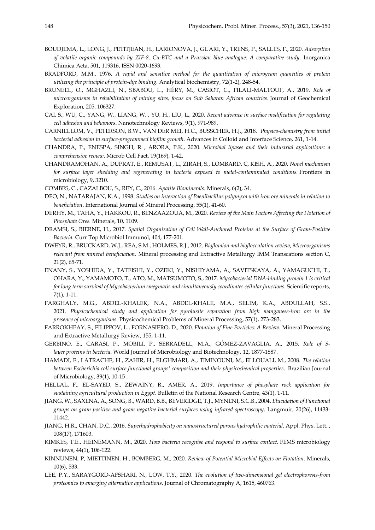- BOUDJEMA, L., LONG, J., PETITJEAN, H., LARIONOVA, J., GUARI, Y., TRENS, P., SALLES, F., 2020. *Adsorption of volatile organic compounds by ZIF-8, Cu-BTC and a Prussian blue analogue: A comparative study*. Inorganica Chimica Acta, 501, 119316, ISSN 0020-1693.
- BRADFORD, M.M., 1976. *A rapid and sensitive method for the quantitation of microgram quantities of protein utilizing the principle of protein-dye binding*. Analytical biochemistry, 72(1-2), 248-54.
- BRUNEEL, O., MGHAZLI, N., SBABOU, L., HÉRY, M., CASIOT, C., FILALI-MALTOUF, A., 2019. *Role of microorganisms in rehabilitation of mining sites, focus on Sub Saharan African countries*. Journal of Geochemical Exploration, 205, 106327.
- CAI, S., WU, C., YANG, W., LIANG, W. , YU, H., LIU, L., 2020. *Recent advance in surface modification for regulating cell adhesion and behaviors*. Nanotechnology Reviews, 9(1), 971-989.
- CARNIELLOM, V., PETERSON, B.W., VAN DER MEI, H.C., BUSSCHER, H.J., 2018. *Physico-chemistry from initial bacterial adhesion to surface-programmed biofilm growth*. Advances in Colloid and Interface Science, 261, 1-14.
- CHANDRA, P., ENESPA, SINGH, R. , ARORA, P.K., 2020. *Microbial lipases and their industrial applications: a comprehensive review*. Microb Cell Fact, 19(169), 1-42.
- CHANDRAMOHAN, A., DUPRAT, E., REMUSAT, L., ZIRAH, S., LOMBARD, C, KISH, A., 2020. *Novel mechanism for surface layer shedding and regenerating in bacteria exposed to metal-contaminated conditions.* Frontiers in microbiology, 9, 3210.
- COMBES, C., CAZALBOU, S., REY, C., 2016. *Apatite Biominerals*. Minerals, 6(2), 34.
- DEO, N., NATARAJAN, K.A., 1998. *Studies on interaction of Paenibacillus polymyxa with iron ore minerals in relation to beneficiation*. International Journal of Mineral Processing, 55(1), 41-60.
- DERHY, M., TAHA, Y., HAKKOU, R., BENZAAZOUA, M., 2020. *Review of the Main Factors Affecting the Flotation of Phosphate Ores.* Minerals, 10, 1109.
- DRAMSI, S., BIERNE, H., 2017. *Spatial Organization of Cell Wall-Anchored Proteins at the Surface of Gram-Positive Bacteria*. Curr Top Microbiol Immunol, 404, 177-201.
- DWEYR, R., BRUCKARD, W.J., REA, S.M., HOLMES, R.J., 2012. *Bioflotaion and bioflocculation review, Microorganisms relevant from mineral beneficiation*. Mineral processing and Extractive Metallurgy IMM Transcations section C, 21(2), 65-71.
- ENANY, S., YOSHIDA, Y., TATEISHI, Y., OZEKI, Y., NISHIYAMA, A., SAVITSKAYA, A., YAMAGUCHI, T., OHARA, Y., YAMAMOTO, T., ATO, M., MATSUMOTO, S., 2017. *Mycobacterial DNA-binding protein 1 is critical for long term survival of Mycobacterium smegmatis and simultaneously coordinates cellular functions. Scientific reports,* 7(1), 1-11.
- FARGHALY, M.G., ABDEL-KHALEK, N.A., ABDEL-KHALE, M.A., SELIM, K.A., ABDULLAH, S.S., 2021. *Physicochemical study and application for pyrolusite separation from high manganese-iron ore in the presence of microorganisms*. Physicochemical Problems of Mineral Processing, 57(1), 273-283.
- FARROKHPAY, S., FILIPPOV, L., FORNASIERO, D., 2020. *Flotation of Fine Particles: A Review.* Mineral Processing and Extractive Metallurgy Review, 155, 1-11.
- GERBINO, E., CARASI, P., MOBILI, P., SERRADELL, M.A., GÓMEZ-ZAVAGLIA, A., 2015. *Role of Slayer proteins in bacteria*. World Journal of Microbiology and Biotechnology, 12, 1877-1887.
- HAMADI, F., LATRACHE, H., ZAHIR, H., ELGHMARI, A., TIMINOUNI, M., ELLOUALI, M., 2008. *The relation between Escherichia coli surface functional groups' composition and their physicochemical properties*. Brazilian Journal of Microbiology, 39(1), 10-15 .
- HELLAL, F., EL-SAYED, S., ZEWAINY, R., AMER, A., 2019. *Importance of phosphate rock application for sustaining agricultural production in Egypt*. Bulletin of the National Research Centre, 43(1), 1-11.
- JIANG, W., SAXENA, A., SONG, B., WARD, B.B., BEVERIDGE, T.J., MYNENI, S.C.B., 2004. *Elucidation of Functional groups on gram positive and gram negative bacterial surfaces using infrared spectroscopy*. Langmuir, 20(26), 11433- 11442.
- JIANG, H.R., CHAN, D.C., 2016. *Superhydrophobicity on nanostructured porous hydrophilic material*. Appl. Phys. Lett. , 108(17), 171603.
- KIMKES, T.E., HEINEMANN, M., 2020. *How bacteria recognise and respond to surface contact.* FEMS microbiology reviews, 44(1), 106-122.
- KINNUNEN, P, MIETTINEN, H., BOMBERG, M., 2020. *Review of Potential Microbial Effects on Flotation*. Minerals, 10(6), 533.
- LEE, P.Y., SARAYGORD-AFSHARI, N., LOW, T.Y., 2020. *The evolution of two-dimensional gel electrophoresis-from proteomics to emerging alternative applications*. Journal of Chromatography A, 1615, 460763.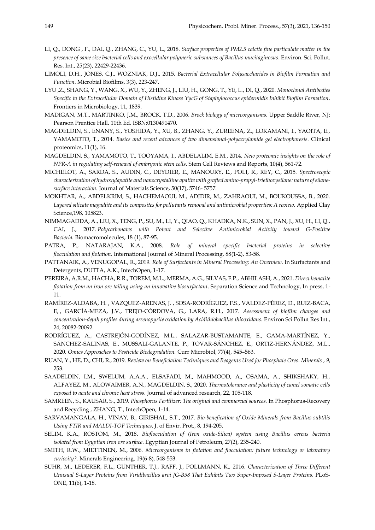- LI, Q., DONG , F., DAI, Q., ZHANG, C., YU, L., 2018. *Surface properties of PM2.5 calcite fine particulate matter in the presence of same size bacterial cells and exocellular polymeric substances of Bacillus mucitaginosus*. Environ. Sci. Pollut. Res. Int., 25(23), 22429-22436.
- LIMOLI, D.H., JONES, C.J., WOZNIAK, D.J., 2015. *Bacterial Extracellular Polysaccharides in Biofilm Formation and Function*. Microbial Biofilms, 3(3), 223-247.
- LYU ,Z., SHANG, Y., WANG, X., WU, Y., ZHENG, J., LIU, H., GONG, T., YE, L., DI, Q., 2020. *Monoclonal Antibodies Specific to the Extracellular Domain of Histidine Kinase YycG of Staphylococcus epidermidis Inhibit Biofilm Formation*. Frontiers in Microbiology, 11, 1839.
- MADIGAN, M.T., MARTINKO, J.M., BROCK, T.D., 2006. *Brock biology of microorganisms*. Upper Saddle River, NJ: Pearson Prentice Hall. 11th Ed. ISBN:0130491470.
- MAGDELDIN, S., ENANY, S., YOSHIDA, Y., XU, B., ZHANG, Y., ZUREENA, Z., LOKAMANI, I., YAOITA, E., YAMAMOTO, T., 2014. *Basics and recent advances of two dimensional-polyacrylamide gel electrophoresis*. Clinical proteomics, 11(1), 16.
- MAGDELDIN, S., YAMAMOTO, T., TOOYAMA, I., ABDELALIM, E.M., 2014. *New proteomic insights on the role of NPR-A in regulating self-renewal of embryonic stem cells*. Stem Cell Reviews and Reports, 10(4), 561-72.
- MICHELOT, A., SARDA, S., AUDIN, C., DEYDIER, E., MANOURY, E., POLI, R., REY, C., 2015. *Spectroscopic characterization of hydroxylapatite and nanocrystalline apatite with grafted amino-propyl-triethoxysilane: nature of silanesurface interaction*. Journal of Materials Science, 50(17), 5746- 5757.
- MOKHTAR, A., ABDELKRIM, S., HACHEMAOUI, M., ADJDIR, M., ZAHRAOUI, M., BOUKOUSSA, B., 2020. *Layered silicate magadiite and its composites for pollutants removal and antimicrobial properties: A review.* Applied Clay Science,198, 105823.
- NIMMAGADDA, A., LIU, X., TENG, P., SU, M., LI, Y., QIAO, Q., KHADKA, N.K., SUN, X., PAN, J., XU, H., LI, Q., CAI, J., 2017. *Polycarbonates with Potent and Selective Antimicrobial Activity toward G-Positive Bacteria.* Biomacromolecules, 18 (1), 87-95.
- PATRA, P., NATARAJAN, K.A., 2008. *Role of mineral specific bacterial proteins in selective flocculation and flotation*. International Journal of Mineral Processing, 88(1-2), 53-58.
- PATTANAIK, A., VENUGOPAL, R., 2019. *Role of Surfactants in Mineral Processing: An Overview*. In Surfactants and Detergents, DUTTA, A.K., IntechOpen, 1-17.
- PEREIRA, A.R.M., HACHA, R.R., TOREM, M.L., MERMA, A.G., SILVAS, F.P., ABHILASH, A., 2021. *Direct hematite flotation from an iron ore tailing using an innovative biosurfactant*. Separation Science and Technology, In press, 1- 11.
- RAMÍREZ-ALDABA, H. , VAZQUEZ-ARENAS, J. , SOSA-RODRÍGUEZ, F.S., VALDEZ-PÉREZ, D., RUIZ-BACA, E, , GARCÍA-MEZA, J.V., TREJO-CÓRDOVA, G., LARA, R.H., 2017. *Assessment of biofilm changes and concentration-depth profiles during arsenopyrite oxidation by Acidithiobacillus thiooxidans.* Environ Sci Pollut Res Int., 24, 20082-20092.
- RODRÍGUEZ, A., CASTREJÓN-GODÍNEZ, M.L., SALAZAR-BUSTAMANTE, E., GAMA-MARTÍNEZ, Y., SÁNCHEZ-SALINAS, E., MUSSALI-GALANTE, P., TOVAR-SÁNCHEZ, E., ORTIZ-HERNÁNDEZ, M.L., 2020. *Omics Approaches to Pesticide Biodegradation.* Curr Microbiol, 77(4), 545–563.
- RUAN, Y., HE, D., CHI, R., 2019. *Review on Beneficiation Techniques and Reagents Used for Phosphate Ores*. *Minerals* , *9*, 253.
- SAADELDIN, I.M., SWELUM, A.A.A., ELSAFADI, M., MAHMOOD, A., OSAMA, A., SHIKSHAKY, H., ALFAYEZ, M., ALOWAIMER, A.N., MAGDELDIN, S., 2020. *Thermotolerance and plasticity of camel somatic cells exposed to acute and chronic heat stress*. Journal of advanced research, 22, 105-118.
- SAMREEN, S., KAUSAR, S., 2019. *Phosphorus Fertilizer: The original and commercial sources.* In Phosphorus-Recovery and Recycling , ZHANG, T., IntechOpen, 1-14.
- SARVAMANGALA, H., VINAY, B., GIRISHAL, S.T., 2017. *Bio-benefication of Oxide Minerals from Bacillus subtilis Using FTIR and MALDI-TOF Techniques*. J. of Envir. Prot*.*, 8, 194-205.
- SELIM, K.A., ROSTOM, M., 2018. *Bioflocculation of (Iron oxide-Silica) system using Bacillus cereus bacteria isolated from Egyptian iron ore surface*. Egyptian Journal of Petroleum, 27(2), 235-240.
- SMITH, R.W., MIETTINEN, M., 2006. *Microorganisms in flotation and flocculation: future technology or laboratory curiosity?.* Minerals Engineering, 19(6-8), 548-553.
- SUHR, M., LEDERER, F.L., GÜNTHER, T.J., RAFF, J., POLLMANN, K., 2016. *Characterization of Three Different Unusual S-Layer Proteins from Viridibacillus arvi JG-B58 That Exhibits Two Super-Imposed S-Layer Proteins*. PLoS-ONE, 11(6), 1-18.